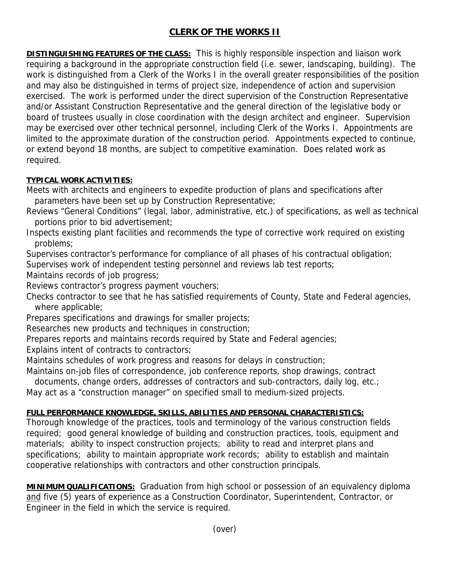## **CLERK OF THE WORKS II**

**DISTINGUISHING FEATURES OF THE CLASS:** This is highly responsible inspection and liaison work requiring a background in the appropriate construction field (i.e. sewer, landscaping, building). The work is distinguished from a Clerk of the Works I in the overall greater responsibilities of the position and may also be distinguished in terms of project size, independence of action and supervision exercised. The work is performed under the direct supervision of the Construction Representative and/or Assistant Construction Representative and the general direction of the legislative body or board of trustees usually in close coordination with the design architect and engineer. Supervision may be exercised over other technical personnel, including Clerk of the Works I. Appointments are limited to the approximate duration of the construction period. Appointments expected to continue, or extend beyond 18 months, are subject to competitive examination. Does related work as required.

## **TYPICAL WORK ACTIVITIES:**

Meets with architects and engineers to expedite production of plans and specifications after parameters have been set up by Construction Representative;

Reviews "General Conditions" (legal, labor, administrative, etc.) of specifications, as well as technical portions prior to bid advertisement;

Inspects existing plant facilities and recommends the type of corrective work required on existing problems;

Supervises contractor's performance for compliance of all phases of his contractual obligation;

Supervises work of independent testing personnel and reviews lab test reports;

Maintains records of job progress;

Reviews contractor's progress payment vouchers;

Checks contractor to see that he has satisfied requirements of County, State and Federal agencies, where applicable;

Prepares specifications and drawings for smaller projects;

Researches new products and techniques in construction;

Prepares reports and maintains records required by State and Federal agencies;

Explains intent of contracts to contractors;

Maintains schedules of work progress and reasons for delays in construction;

Maintains on-job files of correspondence, job conference reports, shop drawings, contract

documents, change orders, addresses of contractors and sub-contractors, daily log, etc.;

May act as a "construction manager" on specified small to medium-sized projects.

## **FULL PERFORMANCE KNOWLEDGE, SKILLS, ABILITIES AND PERSONAL CHARACTERISTICS:**

Thorough knowledge of the practices, tools and terminology of the various construction fields required; good general knowledge of building and construction practices, tools, equipment and materials; ability to inspect construction projects; ability to read and interpret plans and specifications; ability to maintain appropriate work records; ability to establish and maintain cooperative relationships with contractors and other construction principals.

**MINIMUM QUALIFICATIONS:** Graduation from high school or possession of an equivalency diploma and five (5) years of experience as a Construction Coordinator, Superintendent, Contractor, or Engineer in the field in which the service is required.